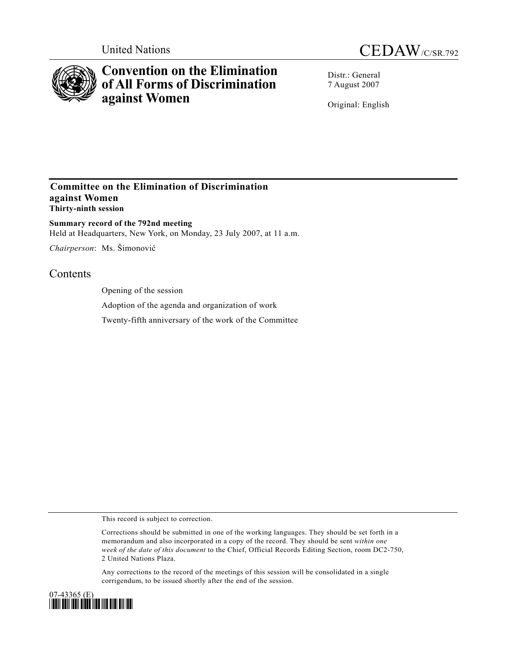



# **Convention on the Elimination of All Forms of Discrimination against Women**

Distr.: General 7 August 2007

Original: English

### **Committee on the Elimination of Discrimination against Women Thirty-ninth session**

**Summary record of the 792nd meeting**  Held at Headquarters, New York, on Monday, 23 July 2007, at 11 a.m.

*Chairperson*: Ms. Šimonović

## **Contents**

Opening of the session

Adoption of the agenda and organization of work

Twenty-fifth anniversary of the work of the Committee

This record is subject to correction.

Corrections should be submitted in one of the working languages. They should be set forth in a memorandum and also incorporated in a copy of the record. They should be sent *within one week of the date of this document* to the Chief, Official Records Editing Section, room DC2-750, 2 United Nations Plaza.

Any corrections to the record of the meetings of this session will be consolidated in a single corrigendum, to be issued shortly after the end of the session.

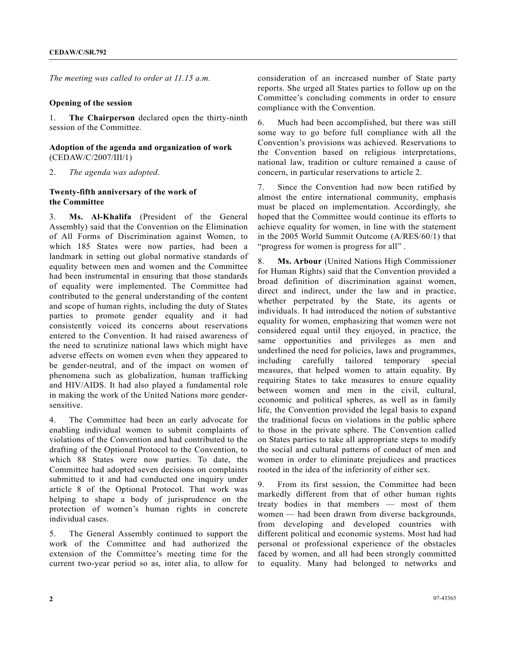*The meeting was called to order at 11.15 a.m.* 

#### **Opening of the session**

1. **The Chairperson** declared open the thirty-ninth session of the Committee.

#### **Adoption of the agenda and organization of work**  (CEDAW/C/2007/III/1)

2. *The agenda was adopted*.

#### **Twenty-fifth anniversary of the work of the Committee**

3. **Ms. Al-Khalifa** (President of the General Assembly) said that the Convention on the Elimination of All Forms of Discrimination against Women, to which 185 States were now parties, had been a landmark in setting out global normative standards of equality between men and women and the Committee had been instrumental in ensuring that those standards of equality were implemented. The Committee had contributed to the general understanding of the content and scope of human rights, including the duty of States parties to promote gender equality and it had consistently voiced its concerns about reservations entered to the Convention. It had raised awareness of the need to scrutinize national laws which might have adverse effects on women even when they appeared to be gender-neutral, and of the impact on women of phenomena such as globalization, human trafficking and HIV/AIDS. It had also played a fundamental role in making the work of the United Nations more gendersensitive.

4. The Committee had been an early advocate for enabling individual women to submit complaints of violations of the Convention and had contributed to the drafting of the Optional Protocol to the Convention, to which 88 States were now parties. To date, the Committee had adopted seven decisions on complaints submitted to it and had conducted one inquiry under article 8 of the Optional Protocol. That work was helping to shape a body of jurisprudence on the protection of women's human rights in concrete individual cases.

5. The General Assembly continued to support the work of the Committee and had authorized the extension of the Committee's meeting time for the current two-year period so as, inter alia, to allow for consideration of an increased number of State party reports. She urged all States parties to follow up on the Committee's concluding comments in order to ensure compliance with the Convention.

6. Much had been accomplished, but there was still some way to go before full compliance with all the Convention's provisions was achieved. Reservations to the Convention based on religious interpretations, national law, tradition or culture remained a cause of concern, in particular reservations to article 2.

7. Since the Convention had now been ratified by almost the entire international community, emphasis must be placed on implementation. Accordingly, she hoped that the Committee would continue its efforts to achieve equality for women, in line with the statement in the 2005 World Summit Outcome (A/RES/60/1) that "progress for women is progress for all" .

8. **Ms. Arbour** (United Nations High Commissioner for Human Rights) said that the Convention provided a broad definition of discrimination against women, direct and indirect, under the law and in practice, whether perpetrated by the State, its agents or individuals. It had introduced the notion of substantive equality for women, emphasizing that women were not considered equal until they enjoyed, in practice, the same opportunities and privileges as men and underlined the need for policies, laws and programmes, including carefully tailored temporary special measures, that helped women to attain equality. By requiring States to take measures to ensure equality between women and men in the civil, cultural, economic and political spheres, as well as in family life, the Convention provided the legal basis to expand the traditional focus on violations in the public sphere to those in the private sphere. The Convention called on States parties to take all appropriate steps to modify the social and cultural patterns of conduct of men and women in order to eliminate prejudices and practices rooted in the idea of the inferiority of either sex.

9. From its first session, the Committee had been markedly different from that of other human rights treaty bodies in that members — most of them women — had been drawn from diverse backgrounds, from developing and developed countries with different political and economic systems. Most had had personal or professional experience of the obstacles faced by women, and all had been strongly committed to equality. Many had belonged to networks and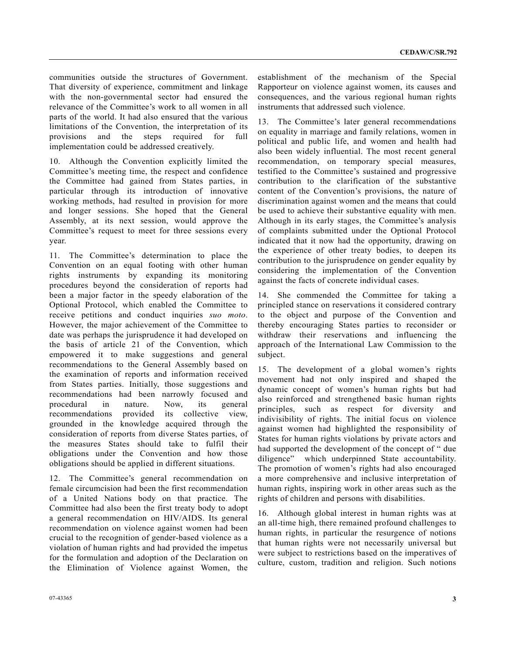communities outside the structures of Government. That diversity of experience, commitment and linkage with the non-governmental sector had ensured the relevance of the Committee's work to all women in all parts of the world. It had also ensured that the various limitations of the Convention, the interpretation of its provisions and the steps required for full implementation could be addressed creatively.

10. Although the Convention explicitly limited the Committee's meeting time, the respect and confidence the Committee had gained from States parties, in particular through its introduction of innovative working methods, had resulted in provision for more and longer sessions. She hoped that the General Assembly, at its next session, would approve the Committee's request to meet for three sessions every year.

11. The Committee's determination to place the Convention on an equal footing with other human rights instruments by expanding its monitoring procedures beyond the consideration of reports had been a major factor in the speedy elaboration of the Optional Protocol, which enabled the Committee to receive petitions and conduct inquiries *suo moto*. However, the major achievement of the Committee to date was perhaps the jurisprudence it had developed on the basis of article 21 of the Convention, which empowered it to make suggestions and general recommendations to the General Assembly based on the examination of reports and information received from States parties. Initially, those suggestions and recommendations had been narrowly focused and procedural in nature. Now, its general recommendations provided its collective view, grounded in the knowledge acquired through the consideration of reports from diverse States parties, of the measures States should take to fulfil their obligations under the Convention and how those obligations should be applied in different situations.

12. The Committee's general recommendation on female circumcision had been the first recommendation of a United Nations body on that practice. The Committee had also been the first treaty body to adopt a general recommendation on HIV/AIDS. Its general recommendation on violence against women had been crucial to the recognition of gender-based violence as a violation of human rights and had provided the impetus for the formulation and adoption of the Declaration on the Elimination of Violence against Women, the

establishment of the mechanism of the Special Rapporteur on violence against women, its causes and consequences, and the various regional human rights instruments that addressed such violence.

13. The Committee's later general recommendations on equality in marriage and family relations, women in political and public life, and women and health had also been widely influential. The most recent general recommendation, on temporary special measures, testified to the Committee's sustained and progressive contribution to the clarification of the substantive content of the Convention's provisions, the nature of discrimination against women and the means that could be used to achieve their substantive equality with men. Although in its early stages, the Committee's analysis of complaints submitted under the Optional Protocol indicated that it now had the opportunity, drawing on the experience of other treaty bodies, to deepen its contribution to the jurisprudence on gender equality by considering the implementation of the Convention against the facts of concrete individual cases.

14. She commended the Committee for taking a principled stance on reservations it considered contrary to the object and purpose of the Convention and thereby encouraging States parties to reconsider or withdraw their reservations and influencing the approach of the International Law Commission to the subject.

15. The development of a global women's rights movement had not only inspired and shaped the dynamic concept of women's human rights but had also reinforced and strengthened basic human rights principles, such as respect for diversity and indivisibility of rights. The initial focus on violence against women had highlighted the responsibility of States for human rights violations by private actors and had supported the development of the concept of " due diligence" which underpinned State accountability. The promotion of women's rights had also encouraged a more comprehensive and inclusive interpretation of human rights, inspiring work in other areas such as the rights of children and persons with disabilities.

16. Although global interest in human rights was at an all-time high, there remained profound challenges to human rights, in particular the resurgence of notions that human rights were not necessarily universal but were subject to restrictions based on the imperatives of culture, custom, tradition and religion. Such notions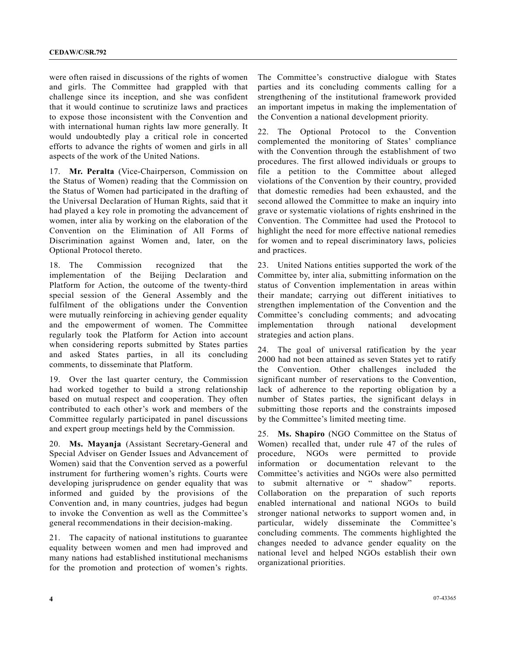were often raised in discussions of the rights of women and girls. The Committee had grappled with that challenge since its inception, and she was confident that it would continue to scrutinize laws and practices to expose those inconsistent with the Convention and with international human rights law more generally. It would undoubtedly play a critical role in concerted efforts to advance the rights of women and girls in all aspects of the work of the United Nations.

17. **Mr. Peralta** (Vice-Chairperson, Commission on the Status of Women) reading that the Commission on the Status of Women had participated in the drafting of the Universal Declaration of Human Rights, said that it had played a key role in promoting the advancement of women, inter alia by working on the elaboration of the Convention on the Elimination of All Forms of Discrimination against Women and, later, on the Optional Protocol thereto.

18. The Commission recognized that the implementation of the Beijing Declaration and Platform for Action, the outcome of the twenty-third special session of the General Assembly and the fulfilment of the obligations under the Convention were mutually reinforcing in achieving gender equality and the empowerment of women. The Committee regularly took the Platform for Action into account when considering reports submitted by States parties and asked States parties, in all its concluding comments, to disseminate that Platform.

19. Over the last quarter century, the Commission had worked together to build a strong relationship based on mutual respect and cooperation. They often contributed to each other's work and members of the Committee regularly participated in panel discussions and expert group meetings held by the Commission.

20. **Ms. Mayanja** (Assistant Secretary-General and Special Adviser on Gender Issues and Advancement of Women) said that the Convention served as a powerful instrument for furthering women's rights. Courts were developing jurisprudence on gender equality that was informed and guided by the provisions of the Convention and, in many countries, judges had begun to invoke the Convention as well as the Committee's general recommendations in their decision-making.

21. The capacity of national institutions to guarantee equality between women and men had improved and many nations had established institutional mechanisms for the promotion and protection of women's rights.

The Committee's constructive dialogue with States parties and its concluding comments calling for a strengthening of the institutional framework provided an important impetus in making the implementation of the Convention a national development priority.

22. The Optional Protocol to the Convention complemented the monitoring of States' compliance with the Convention through the establishment of two procedures. The first allowed individuals or groups to file a petition to the Committee about alleged violations of the Convention by their country, provided that domestic remedies had been exhausted, and the second allowed the Committee to make an inquiry into grave or systematic violations of rights enshrined in the Convention. The Committee had used the Protocol to highlight the need for more effective national remedies for women and to repeal discriminatory laws, policies and practices.

23. United Nations entities supported the work of the Committee by, inter alia, submitting information on the status of Convention implementation in areas within their mandate; carrying out different initiatives to strengthen implementation of the Convention and the Committee's concluding comments; and advocating implementation through national development strategies and action plans.

24. The goal of universal ratification by the year 2000 had not been attained as seven States yet to ratify the Convention. Other challenges included the significant number of reservations to the Convention, lack of adherence to the reporting obligation by a number of States parties, the significant delays in submitting those reports and the constraints imposed by the Committee's limited meeting time.

25. **Ms. Shapiro** (NGO Committee on the Status of Women) recalled that, under rule 47 of the rules of procedure, NGOs were permitted to provide information or documentation relevant to the Committee's activities and NGOs were also permitted to submit alternative or " shadow" reports. Collaboration on the preparation of such reports enabled international and national NGOs to build stronger national networks to support women and, in particular, widely disseminate the Committee's concluding comments. The comments highlighted the changes needed to advance gender equality on the national level and helped NGOs establish their own organizational priorities.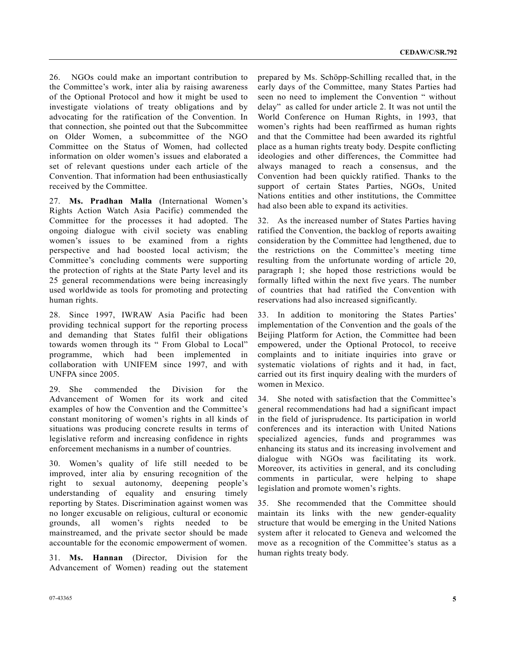26. NGOs could make an important contribution to the Committee's work, inter alia by raising awareness of the Optional Protocol and how it might be used to investigate violations of treaty obligations and by advocating for the ratification of the Convention. In that connection, she pointed out that the Subcommittee on Older Women, a subcommittee of the NGO Committee on the Status of Women, had collected information on older women's issues and elaborated a set of relevant questions under each article of the Convention. That information had been enthusiastically received by the Committee.

27. **Ms. Pradhan Malla** (International Women's Rights Action Watch Asia Pacific) commended the Committee for the processes it had adopted. The ongoing dialogue with civil society was enabling women's issues to be examined from a rights perspective and had boosted local activism; the Committee's concluding comments were supporting the protection of rights at the State Party level and its 25 general recommendations were being increasingly used worldwide as tools for promoting and protecting human rights.

28. Since 1997, IWRAW Asia Pacific had been providing technical support for the reporting process and demanding that States fulfil their obligations towards women through its " From Global to Local" programme, which had been implemented in collaboration with UNIFEM since 1997, and with UNFPA since 2005.

29. She commended the Division for the Advancement of Women for its work and cited examples of how the Convention and the Committee's constant monitoring of women's rights in all kinds of situations was producing concrete results in terms of legislative reform and increasing confidence in rights enforcement mechanisms in a number of countries.

30. Women's quality of life still needed to be improved, inter alia by ensuring recognition of the right to sexual autonomy, deepening people's understanding of equality and ensuring timely reporting by States. Discrimination against women was no longer excusable on religious, cultural or economic grounds, all women's rights needed to be mainstreamed, and the private sector should be made accountable for the economic empowerment of women.

31. **Ms. Hannan** (Director, Division for the Advancement of Women) reading out the statement prepared by Ms. Schöpp-Schilling recalled that, in the early days of the Committee, many States Parties had seen no need to implement the Convention " without delay" as called for under article 2. It was not until the World Conference on Human Rights, in 1993, that women's rights had been reaffirmed as human rights and that the Committee had been awarded its rightful place as a human rights treaty body. Despite conflicting ideologies and other differences, the Committee had always managed to reach a consensus, and the Convention had been quickly ratified. Thanks to the support of certain States Parties, NGOs, United Nations entities and other institutions, the Committee had also been able to expand its activities.

32. As the increased number of States Parties having ratified the Convention, the backlog of reports awaiting consideration by the Committee had lengthened, due to the restrictions on the Committee's meeting time resulting from the unfortunate wording of article 20, paragraph 1; she hoped those restrictions would be formally lifted within the next five years. The number of countries that had ratified the Convention with reservations had also increased significantly.

33. In addition to monitoring the States Parties' implementation of the Convention and the goals of the Beijing Platform for Action, the Committee had been empowered, under the Optional Protocol, to receive complaints and to initiate inquiries into grave or systematic violations of rights and it had, in fact, carried out its first inquiry dealing with the murders of women in Mexico.

34. She noted with satisfaction that the Committee's general recommendations had had a significant impact in the field of jurisprudence. Its participation in world conferences and its interaction with United Nations specialized agencies, funds and programmes was enhancing its status and its increasing involvement and dialogue with NGOs was facilitating its work. Moreover, its activities in general, and its concluding comments in particular, were helping to shape legislation and promote women's rights.

35. She recommended that the Committee should maintain its links with the new gender-equality structure that would be emerging in the United Nations system after it relocated to Geneva and welcomed the move as a recognition of the Committee's status as a human rights treaty body.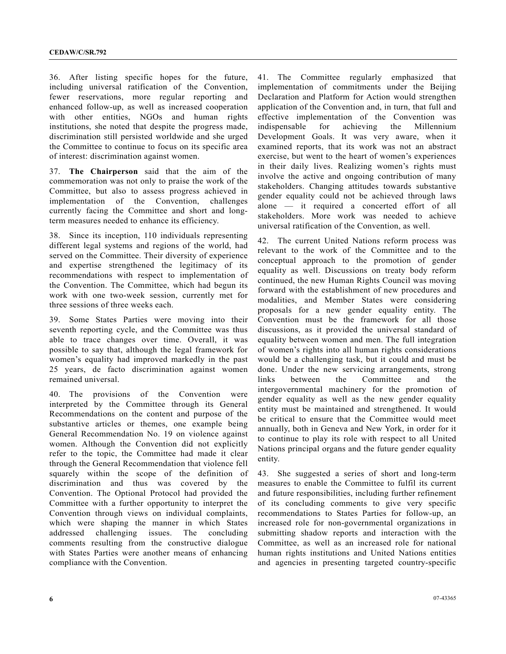36. After listing specific hopes for the future, including universal ratification of the Convention, fewer reservations, more regular reporting and enhanced follow-up, as well as increased cooperation with other entities, NGOs and human rights institutions, she noted that despite the progress made, discrimination still persisted worldwide and she urged the Committee to continue to focus on its specific area of interest: discrimination against women.

37. **The Chairperson** said that the aim of the commemoration was not only to praise the work of the Committee, but also to assess progress achieved in implementation of the Convention, challenges currently facing the Committee and short and longterm measures needed to enhance its efficiency.

38. Since its inception, 110 individuals representing different legal systems and regions of the world, had served on the Committee. Their diversity of experience and expertise strengthened the legitimacy of its recommendations with respect to implementation of the Convention. The Committee, which had begun its work with one two-week session, currently met for three sessions of three weeks each.

39. Some States Parties were moving into their seventh reporting cycle, and the Committee was thus able to trace changes over time. Overall, it was possible to say that, although the legal framework for women's equality had improved markedly in the past 25 years, de facto discrimination against women remained universal.

40. The provisions of the Convention were interpreted by the Committee through its General Recommendations on the content and purpose of the substantive articles or themes, one example being General Recommendation No. 19 on violence against women. Although the Convention did not explicitly refer to the topic, the Committee had made it clear through the General Recommendation that violence fell squarely within the scope of the definition of discrimination and thus was covered by the Convention. The Optional Protocol had provided the Committee with a further opportunity to interpret the Convention through views on individual complaints, which were shaping the manner in which States addressed challenging issues. The concluding comments resulting from the constructive dialogue with States Parties were another means of enhancing compliance with the Convention.

41. The Committee regularly emphasized that implementation of commitments under the Beijing Declaration and Platform for Action would strengthen application of the Convention and, in turn, that full and effective implementation of the Convention was indispensable for achieving the Millennium Development Goals. It was very aware, when it examined reports, that its work was not an abstract exercise, but went to the heart of women's experiences in their daily lives. Realizing women's rights must involve the active and ongoing contribution of many stakeholders. Changing attitudes towards substantive gender equality could not be achieved through laws alone — it required a concerted effort of all stakeholders. More work was needed to achieve universal ratification of the Convention, as well.

42. The current United Nations reform process was relevant to the work of the Committee and to the conceptual approach to the promotion of gender equality as well. Discussions on treaty body reform continued, the new Human Rights Council was moving forward with the establishment of new procedures and modalities, and Member States were considering proposals for a new gender equality entity. The Convention must be the framework for all those discussions, as it provided the universal standard of equality between women and men. The full integration of women's rights into all human rights considerations would be a challenging task, but it could and must be done. Under the new servicing arrangements, strong links between the Committee and the intergovernmental machinery for the promotion of gender equality as well as the new gender equality entity must be maintained and strengthened. It would be critical to ensure that the Committee would meet annually, both in Geneva and New York, in order for it to continue to play its role with respect to all United Nations principal organs and the future gender equality entity.

43. She suggested a series of short and long-term measures to enable the Committee to fulfil its current and future responsibilities, including further refinement of its concluding comments to give very specific recommendations to States Parties for follow-up, an increased role for non-governmental organizations in submitting shadow reports and interaction with the Committee, as well as an increased role for national human rights institutions and United Nations entities and agencies in presenting targeted country-specific